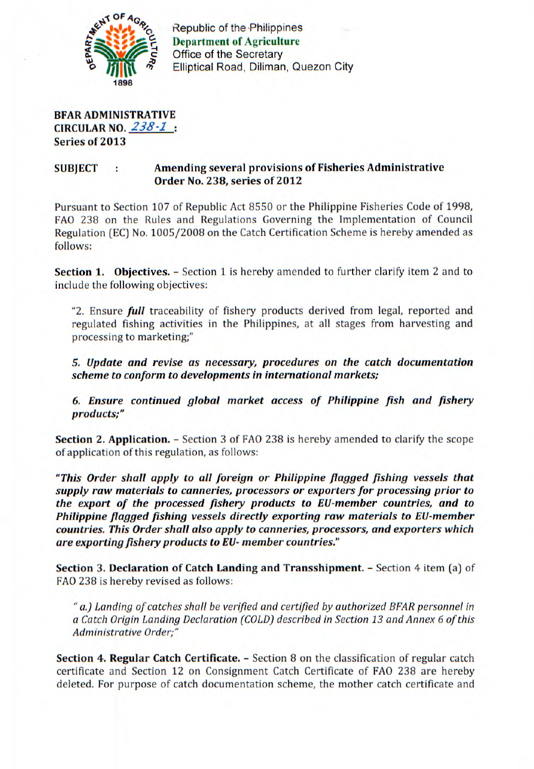

Republic of the Philippines **Department of Agriculture Office of the Secretary** Elliptical Road, Diliman, Quezon City

**BFAR ADMINISTRATIVE CIRCULAR NO.** 238-1 **Series of 2013** 

## **SUBJECT : Amending several provisions of Fisheries Administrative Order No. 238, series of 2012**

Pursuant to Section 107 of Republic Act 8550 or the Philippine Fisheries Code of 1998, FAO 238 on the Rules and Regulations Governing the Implementation of Council Regulation (EC) No. 1005/2008 on the Catch Certification Scheme is hereby amended as follows:

**Section 1. Objectives.** – Section 1 is hereby amended to further clarify item 2 and to include the following objectives:

"2. Ensure *full* traceability of fishery products derived from legal, reported and regulated fishing activities in the Philippines, at all stages from harvesting and processing to marketing;"

*5. Update and revise as necessary, procedures on the catch documentation scheme to conform to developments in international markets;* 

*6. Ensure continued global market access of Philippine fish and fishery products;"* 

**Section 2. Application.** - Section 3 of FAO 238 is hereby amended to clarify the scope of application of this regulation, as follows:

*"This Order shall apply to all foreign or Philippine flagged fishing vessels that supply raw materials to canneries, processors or exporters for processing prior to the export of the processed fishery products to EU-member countries, and to Philippine flagged fishing vessels directly exporting raw materials to EU-member countries. This Order shall also apply to canneries, processors, and exporters which are exporting fishery products to EU- member countries."* 

**Section 3. Declaration of Catch Landing and Transshipment.** - Section 4 item (a) of FAO 238 is hereby revised as follows:

"a.) Landing of catches shall be verified and certified by authorized BFAR personnel in a Catch Origin Landing Declaration (COLD) described in Section 13 and Annex 6 of this Administrative Order;"

**Section 4. Regular Catch Certificate.** - Section 8 on the classification of regular catch certificate and Section 12 on Consignment Catch Certificate of FAO 238 are hereby deleted. For purpose of catch documentation scheme, the mother catch certificate and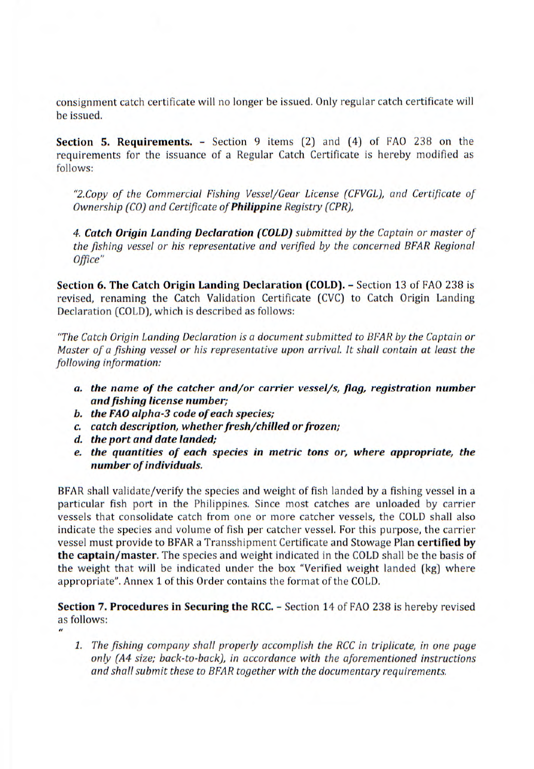consignment catch certificate will no longer be issued. Only regular catch certificate will be issued.

**Section 5. Requirements.** - Section 9 items (2) and (4) of FAO 238 on the requirements for the issuance of a Regular Catch Certificate is hereby modified as follows:

*"2.Copy of the Commercial Fishing Vessel/Gear License (CFVGL), and Certificate of Ownership (CO) and Certificate of Philippine Registry (CPR),* 

*4. Catch Origin Landing Declaration (COLD) submitted by the Captain or master of the fishing vessel or his representative and verified by the concerned BFAR Regional Office"* 

**Section 6. The Catch Origin Landing Declaration (COLD).** - Section 13 of FAO 238 is revised, renaming the Catch Validation Certificate (CVC) to Catch Origin Landing Declaration (COLD), which is described as follows:

*"The Catch Origin Landing Declaration is a document submitted to BFAR by the Captain or Master of a fishing vessel or his representative upon arrival. it shall contain at least the following information:* 

- *a. the name of the catcher and/or carrier vessel/s, flag, registration number and fishing license number;*
- *b. the FAO alpha-3 code of each species;*
- *c. catch description, whether fresh/chilled or frozen;*
- *d. the port and date landed;*
- *e. the quantities of each species in metric tons or, where appropriate, the number of individuals.*

BFAR shall validate/verify the species and weight of fish landed by a fishing vessel in a particular fish port in the Philippines. Since most catches are unloaded by carrier vessels that consolidate catch from one or more catcher vessels, the COLD shall also indicate the species and volume of fish per catcher vessel. For this purpose, the carrier vessel must provide to BFAR a Transshipment Certificate and Stowage Plan **certified by the captain/master.** The species and weight indicated in the COLD shall be the basis of the weight that will be indicated under the box "Verified weight landed (kg) where appropriate". Annex 1 of this Order contains the format of the COLD.

**Section** 7. **Procedures in Securing the RCC.** - Section 14 of FAO 238 is hereby revised as follows: it

*1. The fishing company shall properly accomplish the RCC in triplicate, in one page only (A4 size; back-to-back), in accordance with the aforementioned instructions and shall submit these to BFAR together with the documentary requirements.*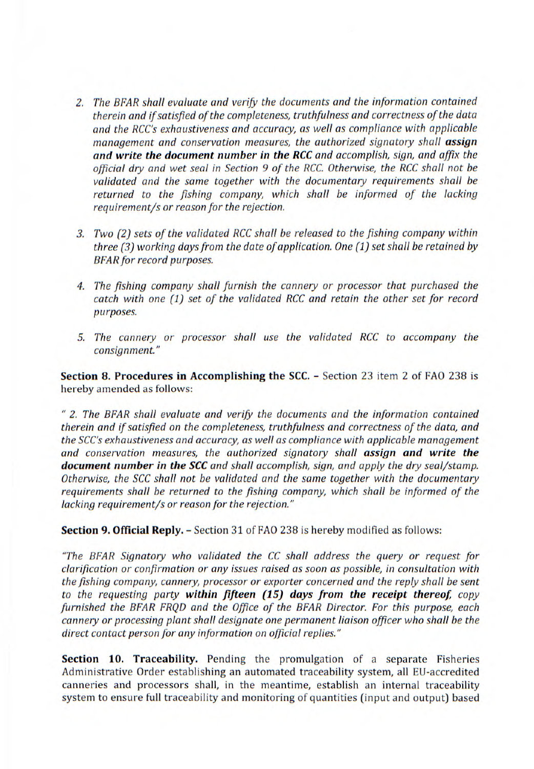- 2. The BFAR shall evaluate and verify the documents and the information contained therein and if satisfied of the completeness, truthfulness and correctness of the data and the RCC's exhaustiveness and accuracy, as well as compliance with applicable management and conservation measures, the authorized signatory shall **assign and write the document number in the RCC** and accomplish, sign, and affix the official dry and wet seal in Section 9 of the RCC. Otherwise, the RCC shall not be validated and the same together with the documentary requirements shall be returned to the fishing company, which shall be informed of the lacking requirement/s or reason for the rejection.
- 3. Two (2) sets of the validated RCC shall be released to the fishing company within three (3) working days from the date of application. One (1) set shall be retained by BFAR for record purposes.
- 4. The fishing company shall furnish the cannery or processor that purchased the catch with one (1) set of the validated RCC and retain the other set for record purposes.
- S. The cannery or processor shall use the validated RCC to accompany the consignment."

**Section 8. Procedures in Accomplishing the SCC.** - Section 23 item 2 of FAO 238 is hereby amended as follows:

2. The BFAR shall evaluate and verify the documents and the information contained therein and if satisfied on the completeness, truthfulness and correctness of the data, and the SCC's exhaustiveness and accuracy, as well as compliance with applicable management and conservation measures, the authorized signatory shall **assign and write the document number in the SCC** and shall accomplish, sign, and apply the dry seal/stamp. Otherwise, the SCC shall not be validated and the same together with the documentary requirements shall be returned to the fishing company, which shall be informed of the lacking requirement/s or reason for the rejection."

**Section 9. Official Reply.** - Section 31 of FAO 238 is hereby modified as follows:

"The BFAR Signatory who validated the CC shall address the query or request for clarification or confirmation or any issues raised as soon as possible, in consultation with the fishing company, cannery, processor or exporter concerned and the reply shall be sent to the requesting party **within fifteen (15) days from the receipt thereof,** copy furnished the BFAR FRQD and the Office of the BFAR Director. For this purpose, each cannery or processing plant shall designate one permanent liaison officer who shall be the direct contact person for any information on official replies."

**Section 10. Traceability.** Pending the promulgation of a separate Fisheries Administrative Order establishing an automated traceability system, all EU-accredited canneries and processors shall, in the meantime, establish an internal traceability system to ensure full traceability and monitoring of quantities (input and output) based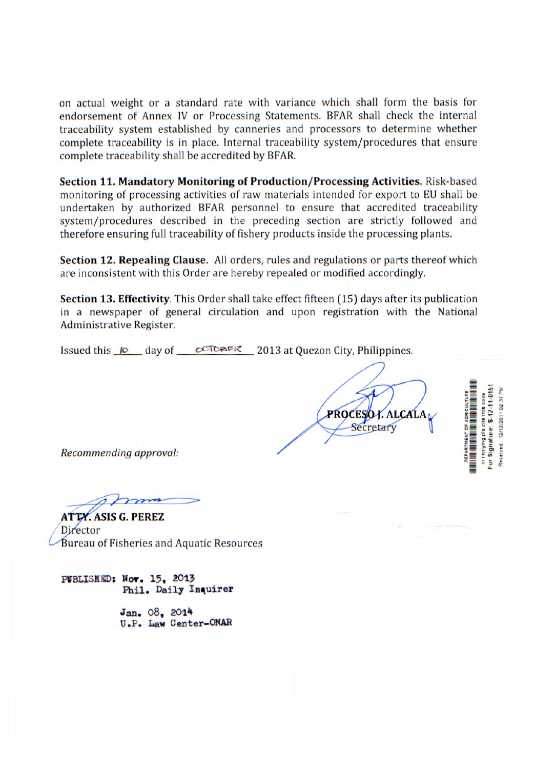on actual weight or a standard rate with variance which shall form the basis for endorsement of Annex IV or Processing Statements. BFAR shall check the internal traceability system established by canneries and processors to determine whether complete traceability is in place. Internal traceability system/procedures that ensure complete traceability shall be accredited by BFAR.

**Section 11. Mandatory Monitoring of Production/Processing Activities.** Risk-based monitoring of processing activities of raw materials intended for export to EU shall be undertaken by authorized BFAR personnel to ensure that accredited traceability system/procedures described in the preceding section are strictly followed and therefore ensuring full traceability of fishery products inside the processing plants.

**Section 12. Repealing Clause.** All orders, rules and regulations or parts thereof which are inconsistent with this Order are hereby repealed or modified accordingly.

**Section 13. Effectivity**. This Order shall take effect fifteen (15) days after its publication in a newspaper of general circulation and upon registration with the National Administrative Register.

Issued this  $I\odot$  day of  $C\odot$  DAFK 2013 at Quezon City, Philippines.

**PROCE K. ALCALA** Secretary

Signature: S-12-11-015 12/12/2011 02:37 PM eplying pis cite this code ARTMENT OF AGRICUL teceived

Recommending approval:

**ATTY. ASIS G. PEREZ** Director Bureau of Fisheries and Aquatic Resources

**PIBLISH** D: **Nov.** 15, 2013 Phil. Daily Inquirer

> Jan. 08, 2014 U.P. Law Center-ONAR